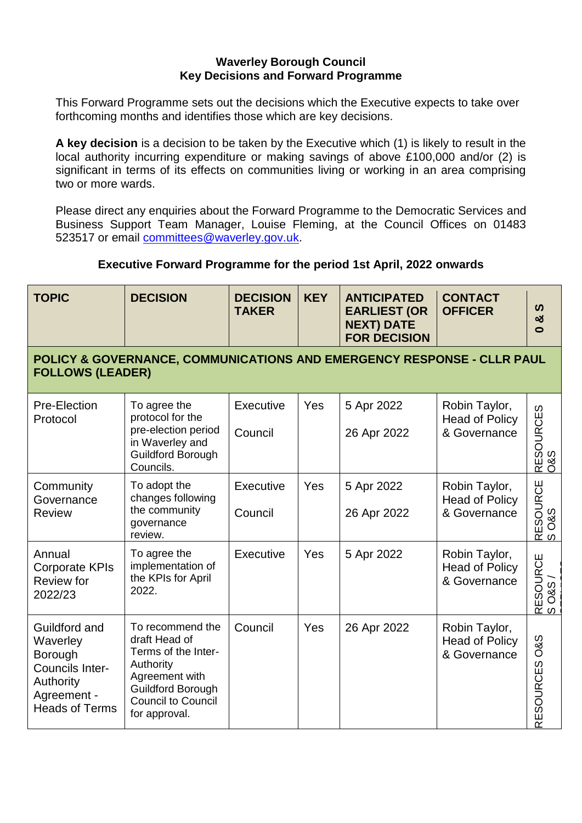#### **Waverley Borough Council Key Decisions and Forward Programme**

This Forward Programme sets out the decisions which the Executive expects to take over forthcoming months and identifies those which are key decisions.

**A key decision** is a decision to be taken by the Executive which (1) is likely to result in the local authority incurring expenditure or making savings of above £100,000 and/or (2) is significant in terms of its effects on communities living or working in an area comprising two or more wards.

Please direct any enquiries about the Forward Programme to the Democratic Services and Business Support Team Manager, Louise Fleming, at the Council Offices on 01483 523517 or email [committees@waverley.gov.uk.](mailto:committees@waverley.gov.uk)

## **Executive Forward Programme for the period 1st April, 2022 onwards**

| <b>TOPIC</b>                                                                                                 | <b>DECISION</b>                                                                                                                                                   | <b>DECISION</b><br><b>TAKER</b> | <b>KEY</b> | <b>ANTICIPATED</b><br><b>EARLIEST (OR</b><br><b>NEXT) DATE</b><br><b>FOR DECISION</b> | <b>CONTACT</b><br><b>OFFICER</b>                       | ທ<br>ಯ<br>$\bullet$                |  |  |
|--------------------------------------------------------------------------------------------------------------|-------------------------------------------------------------------------------------------------------------------------------------------------------------------|---------------------------------|------------|---------------------------------------------------------------------------------------|--------------------------------------------------------|------------------------------------|--|--|
| POLICY & GOVERNANCE, COMMUNICATIONS AND EMERGENCY RESPONSE - CLLR PAUL<br><b>FOLLOWS (LEADER)</b>            |                                                                                                                                                                   |                                 |            |                                                                                       |                                                        |                                    |  |  |
| Pre-Election<br>Protocol                                                                                     | To agree the<br>protocol for the<br>pre-election period<br>in Waverley and<br>Guildford Borough<br>Councils.                                                      | Executive<br>Council            | Yes        | 5 Apr 2022<br>26 Apr 2022                                                             | Robin Taylor,<br><b>Head of Policy</b><br>& Governance | RESOURCES<br>0&S                   |  |  |
| Community<br>Governance<br><b>Review</b>                                                                     | To adopt the<br>changes following<br>the community<br>governance<br>review.                                                                                       | Executive<br>Council            | Yes        | 5 Apr 2022<br>26 Apr 2022                                                             | Robin Taylor,<br><b>Head of Policy</b><br>& Governance | RESOURCE<br>S O&S                  |  |  |
| Annual<br><b>Corporate KPIs</b><br>Review for<br>2022/23                                                     | To agree the<br>implementation of<br>the KPIs for April<br>2022.                                                                                                  | Executive                       | Yes        | 5 Apr 2022                                                                            | Robin Taylor,<br><b>Head of Policy</b><br>& Governance | RESOURCE<br>SO&S/                  |  |  |
| Guildford and<br>Waverley<br>Borough<br>Councils Inter-<br>Authority<br>Agreement -<br><b>Heads of Terms</b> | To recommend the<br>draft Head of<br>Terms of the Inter-<br>Authority<br>Agreement with<br><b>Guildford Borough</b><br><b>Council to Council</b><br>for approval. | Council                         | Yes        | 26 Apr 2022                                                                           | Robin Taylor,<br><b>Head of Policy</b><br>& Governance | <b>O&amp;S</b><br><b>RESOURCES</b> |  |  |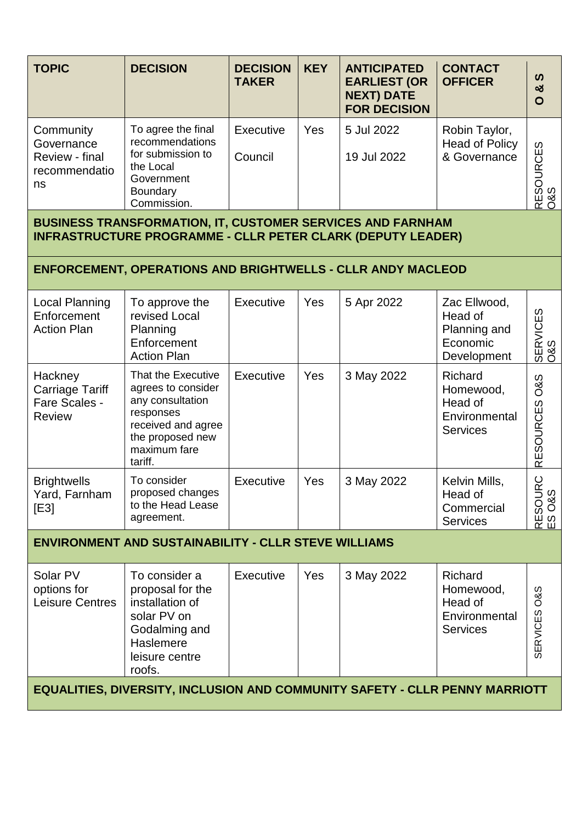| <b>TOPIC</b>                                                     | <b>DECISION</b>                                                                                                         | <b>DECISION</b><br><b>TAKER</b> | <b>KEY</b> | <b>ANTICIPATED</b><br><b>EARLIEST (OR</b><br><b>NEXT) DATE</b><br><b>FOR DECISION</b> | <b>CONTACT</b><br><b>OFFICER</b>                       | ທ<br>න්<br>O                                    |
|------------------------------------------------------------------|-------------------------------------------------------------------------------------------------------------------------|---------------------------------|------------|---------------------------------------------------------------------------------------|--------------------------------------------------------|-------------------------------------------------|
| Community<br>Governance<br>Review - final<br>recommendatio<br>ns | To agree the final<br>recommendations<br>for submission to<br>the Local<br>Government<br><b>Boundary</b><br>Commission. | Executive<br>Council            | Yes        | 5 Jul 2022<br>19 Jul 2022                                                             | Robin Taylor,<br><b>Head of Policy</b><br>& Governance | <b>URCES</b><br><u>ଚ</u><br>က<br>ళ<br><b>RE</b> |

**BUSINESS TRANSFORMATION, IT, CUSTOMER SERVICES AND FARNHAM INFRASTRUCTURE PROGRAMME - CLLR PETER CLARK (DEPUTY LEADER)**

## **ENFORCEMENT, OPERATIONS AND BRIGHTWELLS - CLLR ANDY MACLEOD**

| Local Planning<br>Enforcement<br><b>Action Plan</b>          | To approve the<br>revised Local<br>Planning<br>Enforcement<br><b>Action Plan</b>                                                               | Executive        | Yes | 5 Apr 2022 | Zac Ellwood,<br>Head of<br>Planning and<br>Economic<br>Development         | w<br>SERVICES<br>O&S                   |
|--------------------------------------------------------------|------------------------------------------------------------------------------------------------------------------------------------------------|------------------|-----|------------|----------------------------------------------------------------------------|----------------------------------------|
| Hackney<br>Carriage Tariff<br>Fare Scales -<br><b>Review</b> | That the Executive<br>agrees to consider<br>any consultation<br>responses<br>received and agree<br>the proposed new<br>maximum fare<br>tariff. | Executive        | Yes | 3 May 2022 | <b>Richard</b><br>Homewood,<br>Head of<br>Environmental<br><b>Services</b> | <b>O&amp;S</b><br><b>RESOURCES</b>     |
| <b>Brightwells</b><br>Yard, Farnham<br>[E3]                  | To consider<br>proposed changes<br>to the Head Lease<br>agreement.                                                                             | <b>Executive</b> | Yes | 3 May 2022 | Kelvin Mills,<br>Head of<br>Commercial<br><b>Services</b>                  | SOURC<br><b>O&amp;S</b><br>臣<br>w<br>ய |

# **ENVIRONMENT AND SUSTAINABILITY - CLLR STEVE WILLIAMS**

| Solar PV<br>options for<br>Leisure Centres | To consider a<br>proposal for the<br>installation of<br>solar PV on<br>Godalming and<br>Haslemere<br>leisure centre<br>roofs. | Executive | Yes | 3 May 2022 | <b>Richard</b><br>Homewood,<br>Head of<br>Environmental<br><b>Services</b> | 08S<br>မြိ<br>$\overline{Q}$<br>₩ |
|--------------------------------------------|-------------------------------------------------------------------------------------------------------------------------------|-----------|-----|------------|----------------------------------------------------------------------------|-----------------------------------|
|--------------------------------------------|-------------------------------------------------------------------------------------------------------------------------------|-----------|-----|------------|----------------------------------------------------------------------------|-----------------------------------|

**EQUALITIES, DIVERSITY, INCLUSION AND COMMUNITY SAFETY - CLLR PENNY MARRIOTT**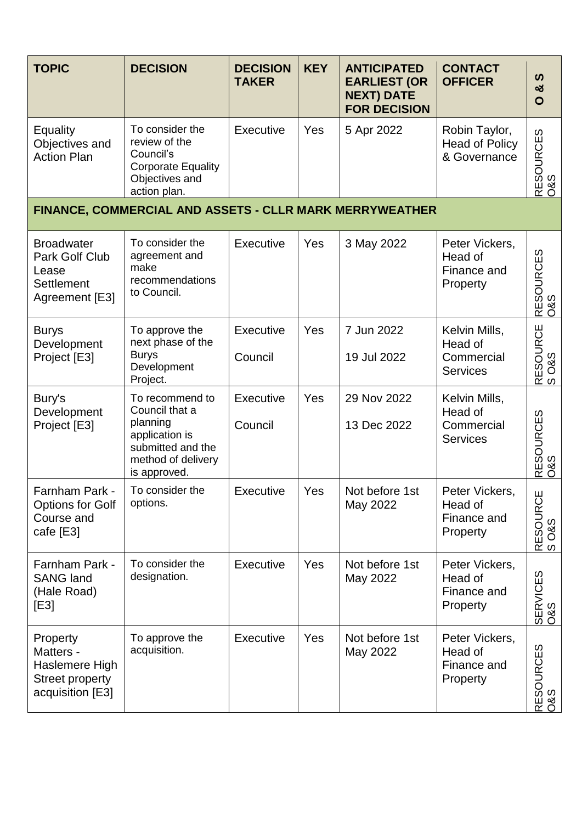| <b>TOPIC</b>                                                                          | <b>DECISION</b>                                                                                                            | <b>DECISION</b><br><b>TAKER</b> | <b>KEY</b> | <b>ANTICIPATED</b><br><b>EARLIEST (OR</b><br><b>NEXT) DATE</b><br><b>FOR DECISION</b> | <b>CONTACT</b><br><b>OFFICER</b>                          | ທ<br>න්<br>$\mathbf{O}$            |
|---------------------------------------------------------------------------------------|----------------------------------------------------------------------------------------------------------------------------|---------------------------------|------------|---------------------------------------------------------------------------------------|-----------------------------------------------------------|------------------------------------|
| Equality<br>Objectives and<br><b>Action Plan</b>                                      | To consider the<br>review of the<br>Council's<br><b>Corporate Equality</b><br>Objectives and<br>action plan.               | <b>Executive</b>                | Yes        | 5 Apr 2022                                                                            | Robin Taylor,<br><b>Head of Policy</b><br>& Governance    | RESOURCES<br>0&S                   |
|                                                                                       | FINANCE, COMMERCIAL AND ASSETS - CLLR MARK MERRYWEATHER                                                                    |                                 |            |                                                                                       |                                                           |                                    |
| <b>Broadwater</b><br>Park Golf Club<br>Lease<br>Settlement<br>Agreement [E3]          | To consider the<br>agreement and<br>make<br>recommendations<br>to Council.                                                 | <b>Executive</b>                | Yes        | 3 May 2022                                                                            | Peter Vickers,<br>Head of<br>Finance and<br>Property      | <b>RESOURCES</b><br><b>O&amp;S</b> |
| <b>Burys</b><br>Development<br>Project [E3]                                           | To approve the<br>next phase of the<br><b>Burys</b><br>Development<br>Project.                                             | <b>Executive</b><br>Council     | Yes        | 7 Jun 2022<br>19 Jul 2022                                                             | Kelvin Mills,<br>Head of<br>Commercial<br><b>Services</b> | RESOURCE<br>S O&S                  |
| Bury's<br>Development<br>Project [E3]                                                 | To recommend to<br>Council that a<br>planning<br>application is<br>submitted and the<br>method of delivery<br>is approved. | Executive<br>Council            | Yes        | 29 Nov 2022<br>13 Dec 2022                                                            | Kelvin Mills,<br>Head of<br>Commercial<br><b>Services</b> | RESOURCES<br>0&S                   |
| Farnham Park -<br><b>Options for Golf</b><br>Course and<br>cafe [E3]                  | To consider the<br>options.                                                                                                | Executive                       | Yes        | Not before 1st<br>May 2022                                                            | Peter Vickers,<br>Head of<br>Finance and<br>Property      | RESOURCE<br>S O&S                  |
| Farnham Park -<br><b>SANG land</b><br>(Hale Road)<br>[E3]                             | To consider the<br>designation.                                                                                            | Executive                       | Yes        | Not before 1st<br>May 2022                                                            | Peter Vickers,<br>Head of<br>Finance and<br>Property      | SERVICES<br>O&S                    |
| Property<br>Matters -<br>Haslemere High<br><b>Street property</b><br>acquisition [E3] | To approve the<br>acquisition.                                                                                             | Executive                       | Yes        | Not before 1st<br>May 2022                                                            | Peter Vickers,<br>Head of<br>Finance and<br>Property      | RESOURCES<br>0&S                   |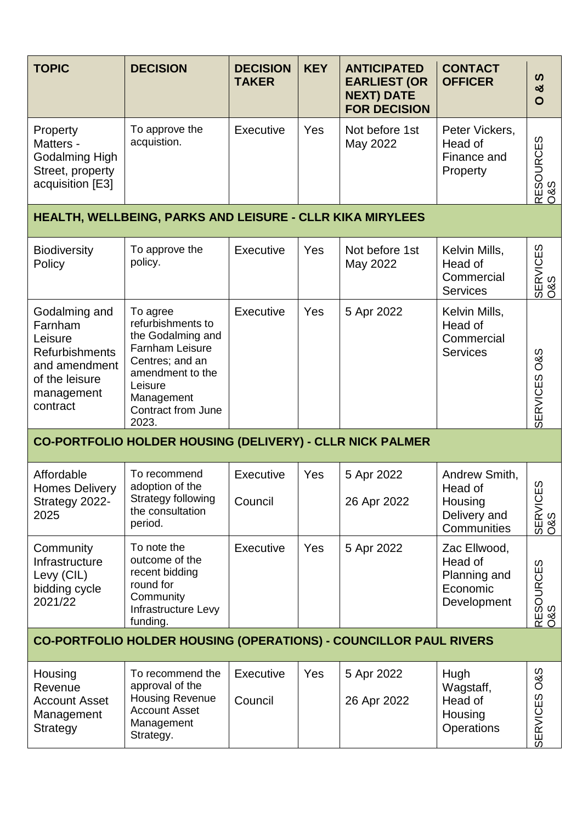| <b>TOPIC</b>                                                                                                              | <b>DECISION</b>                                                                                                                                                                    | <b>DECISION</b><br><b>TAKER</b> | <b>KEY</b> | <b>ANTICIPATED</b><br><b>EARLIEST (OR</b><br><b>NEXT) DATE</b><br><b>FOR DECISION</b> | <b>CONTACT</b><br><b>OFFICER</b>                                   | $\boldsymbol{\omega}$<br>ಯ<br>O   |
|---------------------------------------------------------------------------------------------------------------------------|------------------------------------------------------------------------------------------------------------------------------------------------------------------------------------|---------------------------------|------------|---------------------------------------------------------------------------------------|--------------------------------------------------------------------|-----------------------------------|
| Property<br>Matters -<br>Godalming High<br>Street, property<br>acquisition [E3]                                           | To approve the<br>acquistion.                                                                                                                                                      | Executive                       | Yes        | Not before 1st<br>May 2022                                                            | Peter Vickers,<br>Head of<br>Finance and<br>Property               | RESOURCES<br>0&S                  |
|                                                                                                                           | HEALTH, WELLBEING, PARKS AND LEISURE - CLLR KIKA MIRYLEES                                                                                                                          |                                 |            |                                                                                       |                                                                    |                                   |
| <b>Biodiversity</b><br>Policy                                                                                             | To approve the<br>policy.                                                                                                                                                          | Executive                       | Yes        | Not before 1st<br>May 2022                                                            | Kelvin Mills,<br>Head of<br>Commercial<br><b>Services</b>          | SERVICES<br>O&S                   |
| Godalming and<br>Farnham<br>Leisure<br><b>Refurbishments</b><br>and amendment<br>of the leisure<br>management<br>contract | To agree<br>refurbishments to<br>the Godalming and<br><b>Farnham Leisure</b><br>Centres; and an<br>amendment to the<br>Leisure<br>Management<br><b>Contract from June</b><br>2023. | Executive                       | Yes        | 5 Apr 2022                                                                            | Kelvin Mills,<br>Head of<br>Commercial<br><b>Services</b>          | <b>O&amp;S</b><br><b>SERVICES</b> |
|                                                                                                                           | CO-PORTFOLIO HOLDER HOUSING (DELIVERY) - CLLR NICK PALMER                                                                                                                          |                                 |            |                                                                                       |                                                                    |                                   |
| Affordable<br>Homes Delivery<br>Strategy 2022-<br>2025                                                                    | To recommend<br>adoption of the<br>Strategy following<br>the consultation<br>period.                                                                                               | <b>Executive</b><br>Council     | Yes        | 5 Apr 2022<br>26 Apr 2022                                                             | Andrew Smith,<br>Head of<br>Housing<br>Delivery and<br>Communities | w<br>SERVICES<br>O&S              |
| Community<br>Infrastructure<br>Levy (CIL)<br>bidding cycle<br>2021/22                                                     | To note the<br>outcome of the<br>recent bidding<br>round for<br>Community<br>Infrastructure Levy<br>funding.                                                                       | Executive                       | Yes        | 5 Apr 2022                                                                            | Zac Ellwood,<br>Head of<br>Planning and<br>Economic<br>Development | RESOURCES<br> O&S                 |
|                                                                                                                           | <b>CO-PORTFOLIO HOLDER HOUSING (OPERATIONS) - COUNCILLOR PAUL RIVERS</b>                                                                                                           |                                 |            |                                                                                       |                                                                    |                                   |
| Housing<br>Revenue<br><b>Account Asset</b><br>Management<br><b>Strategy</b>                                               | To recommend the<br>approval of the<br><b>Housing Revenue</b><br><b>Account Asset</b><br>Management<br>Strategy.                                                                   | Executive<br>Council            | Yes        | 5 Apr 2022<br>26 Apr 2022                                                             | Hugh<br>Wagstaff,<br>Head of<br>Housing<br>Operations              | <b>O&amp;S</b><br><b>SERVICES</b> |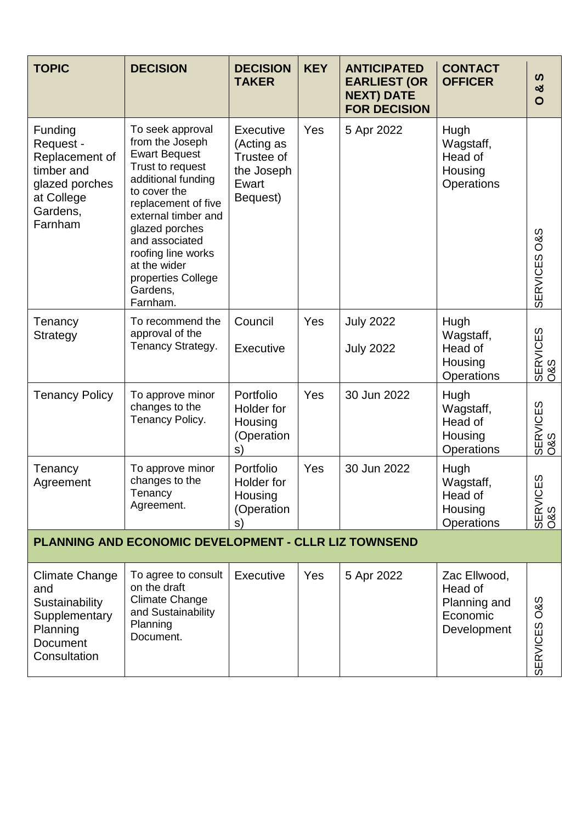| <b>TOPIC</b>                                                                                                | <b>DECISION</b>                                                                                                                                                                                                                                                                             | <b>DECISION</b><br><b>TAKER</b>                                                 | <b>KEY</b> | <b>ANTICIPATED</b><br><b>EARLIEST (OR</b><br><b>NEXT) DATE</b><br><b>FOR DECISION</b> | <b>CONTACT</b><br><b>OFFICER</b>                                   | ທ<br>ఱ<br>$\mathbf O$              |
|-------------------------------------------------------------------------------------------------------------|---------------------------------------------------------------------------------------------------------------------------------------------------------------------------------------------------------------------------------------------------------------------------------------------|---------------------------------------------------------------------------------|------------|---------------------------------------------------------------------------------------|--------------------------------------------------------------------|------------------------------------|
| Funding<br>Request -<br>Replacement of<br>timber and<br>glazed porches<br>at College<br>Gardens,<br>Farnham | To seek approval<br>from the Joseph<br><b>Ewart Bequest</b><br>Trust to request<br>additional funding<br>to cover the<br>replacement of five<br>external timber and<br>glazed porches<br>and associated<br>roofing line works<br>at the wider<br>properties College<br>Gardens,<br>Farnham. | <b>Executive</b><br>(Acting as<br>Trustee of<br>the Joseph<br>Ewart<br>Bequest) | Yes        | 5 Apr 2022                                                                            | Hugh<br>Wagstaff,<br>Head of<br>Housing<br>Operations              | SERVICES O&S                       |
| Tenancy<br>Strategy                                                                                         | To recommend the<br>approval of the<br>Tenancy Strategy.                                                                                                                                                                                                                                    | Council<br><b>Executive</b>                                                     | Yes        | <b>July 2022</b><br><b>July 2022</b>                                                  | Hugh<br>Wagstaff,<br>Head of<br>Housing<br><b>Operations</b>       | SERVICES<br>O&S                    |
| <b>Tenancy Policy</b>                                                                                       | To approve minor<br>changes to the<br>Tenancy Policy.                                                                                                                                                                                                                                       | Portfolio<br>Holder for<br>Housing<br>(Operation<br>s)                          | Yes        | 30 Jun 2022                                                                           | Hugh<br>Wagstaff,<br>Head of<br>Housing<br><b>Operations</b>       | SERVICES<br>O&S                    |
| Tenancy<br>Agreement                                                                                        | To approve minor<br>changes to the<br>Tenancy<br>Agreement.                                                                                                                                                                                                                                 | Portfolio<br>Holder for<br>Housing<br>(Operation<br>S)                          | Yes        | 30 Jun 2022                                                                           | Hugh<br>Wagstaff,<br>Head of<br>Housing<br><b>Operations</b>       | ${\cal O}$<br>ψj<br>SERVICI<br>0&S |
|                                                                                                             | <b>PLANNING AND ECONOMIC DEVELOPMENT - CLLR LIZ TOWNSEND</b>                                                                                                                                                                                                                                |                                                                                 |            |                                                                                       |                                                                    |                                    |
| Climate Change<br>and<br>Sustainability<br>Supplementary<br>Planning<br><b>Document</b><br>Consultation     | To agree to consult<br>on the draft<br><b>Climate Change</b><br>and Sustainability<br>Planning<br>Document.                                                                                                                                                                                 | Executive                                                                       | Yes        | 5 Apr 2022                                                                            | Zac Ellwood,<br>Head of<br>Planning and<br>Economic<br>Development | SERVICES O&S                       |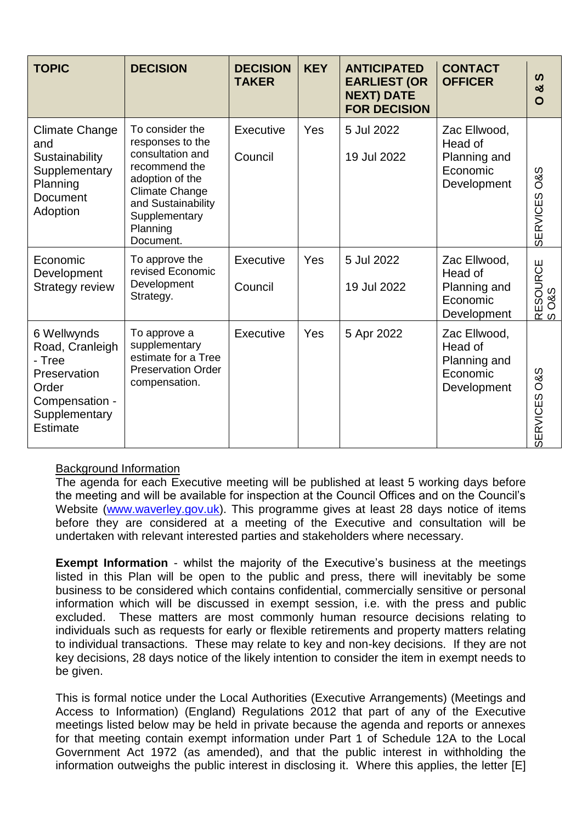| <b>TOPIC</b>                                                                                                     | <b>DECISION</b>                                                                                                                                                                      | <b>DECISION</b><br><b>TAKER</b> | <b>KEY</b> | <b>ANTICIPATED</b><br><b>EARLIEST (OR</b><br><b>NEXT) DATE</b><br><b>FOR DECISION</b> | <b>CONTACT</b><br><b>OFFICER</b>                                   | ທ<br>ఱ<br>O                            |
|------------------------------------------------------------------------------------------------------------------|--------------------------------------------------------------------------------------------------------------------------------------------------------------------------------------|---------------------------------|------------|---------------------------------------------------------------------------------------|--------------------------------------------------------------------|----------------------------------------|
| Climate Change<br>and<br>Sustainability<br>Supplementary<br>Planning<br><b>Document</b><br>Adoption              | To consider the<br>responses to the<br>consultation and<br>recommend the<br>adoption of the<br><b>Climate Change</b><br>and Sustainability<br>Supplementary<br>Planning<br>Document. | Executive<br>Council            | Yes        | 5 Jul 2022<br>19 Jul 2022                                                             | Zac Ellwood,<br>Head of<br>Planning and<br>Economic<br>Development | <b>O&amp;S</b><br><b>SERVICES</b>      |
| Economic<br>Development<br><b>Strategy review</b>                                                                | To approve the<br>revised Economic<br>Development<br>Strategy.                                                                                                                       | Executive<br>Council            | Yes        | 5 Jul 2022<br>19 Jul 2022                                                             | Zac Ellwood,<br>Head of<br>Planning and<br>Economic<br>Development | RESOURCE<br><b>O&amp;S</b><br>$\omega$ |
| 6 Wellwynds<br>Road, Cranleigh<br>- Tree<br>Preservation<br>Order<br>Compensation -<br>Supplementary<br>Estimate | To approve a<br>supplementary<br>estimate for a Tree<br><b>Preservation Order</b><br>compensation.                                                                                   | Executive                       | Yes        | 5 Apr 2022                                                                            | Zac Ellwood,<br>Head of<br>Planning and<br>Economic<br>Development | <b>O&amp;S</b><br><b>SERVICES</b>      |

### Background Information

The agenda for each Executive meeting will be published at least 5 working days before the meeting and will be available for inspection at the Council Offices and on the Council's Website [\(www.waverley.gov.uk\)](http://www.waverley.gov.uk/). This programme gives at least 28 days notice of items before they are considered at a meeting of the Executive and consultation will be undertaken with relevant interested parties and stakeholders where necessary.

**Exempt Information** - whilst the majority of the Executive's business at the meetings listed in this Plan will be open to the public and press, there will inevitably be some business to be considered which contains confidential, commercially sensitive or personal information which will be discussed in exempt session, i.e. with the press and public excluded. These matters are most commonly human resource decisions relating to individuals such as requests for early or flexible retirements and property matters relating to individual transactions. These may relate to key and non-key decisions. If they are not key decisions, 28 days notice of the likely intention to consider the item in exempt needs to be given.

This is formal notice under the Local Authorities (Executive Arrangements) (Meetings and Access to Information) (England) Regulations 2012 that part of any of the Executive meetings listed below may be held in private because the agenda and reports or annexes for that meeting contain exempt information under Part 1 of Schedule 12A to the Local Government Act 1972 (as amended), and that the public interest in withholding the information outweighs the public interest in disclosing it. Where this applies, the letter [E]